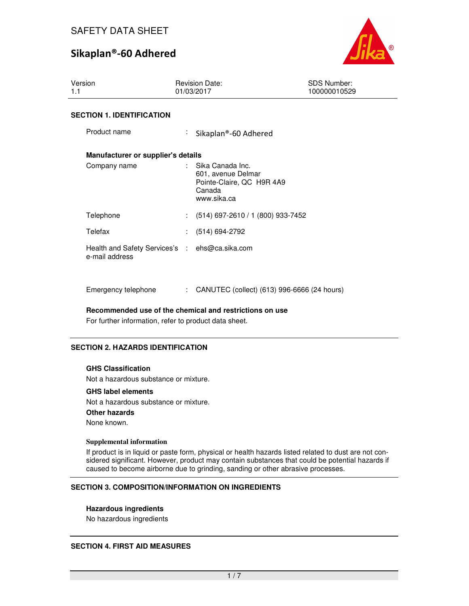

| Version<br>1.1                                                   | <b>Revision Date:</b><br>01/03/2017                                                            | <b>SDS Number:</b><br>100000010529 |
|------------------------------------------------------------------|------------------------------------------------------------------------------------------------|------------------------------------|
| <b>SECTION 1. IDENTIFICATION</b>                                 |                                                                                                |                                    |
| Product name                                                     | ÷.<br>Sikaplan®-60 Adhered                                                                     |                                    |
| Manufacturer or supplier's details                               |                                                                                                |                                    |
| Company name                                                     | : Sika Canada Inc.<br>601, avenue Delmar<br>Pointe-Claire, QC H9R 4A9<br>Canada<br>www.sika.ca |                                    |
| Telephone                                                        | $(514)$ 697-2610 / 1 (800) 933-7452                                                            |                                    |
| Telefax                                                          | : (514) 694-2792                                                                               |                                    |
| Health and Safety Services's : ehs@ca.sika.com<br>e-mail address |                                                                                                |                                    |

**Recommended use of the chemical and restrictions on use** 

Emergency telephone : CANUTEC (collect) (613) 996-6666 (24 hours)

For further information, refer to product data sheet.

## **SECTION 2. HAZARDS IDENTIFICATION**

#### **GHS Classification**

Not a hazardous substance or mixture.

#### **GHS label elements**

Not a hazardous substance or mixture. **Other hazards** None known.

#### **Supplemental information**

If product is in liquid or paste form, physical or health hazards listed related to dust are not considered significant. However, product may contain substances that could be potential hazards if caused to become airborne due to grinding, sanding or other abrasive processes.

#### **SECTION 3. COMPOSITION/INFORMATION ON INGREDIENTS**

#### **Hazardous ingredients**

No hazardous ingredients

#### **SECTION 4. FIRST AID MEASURES**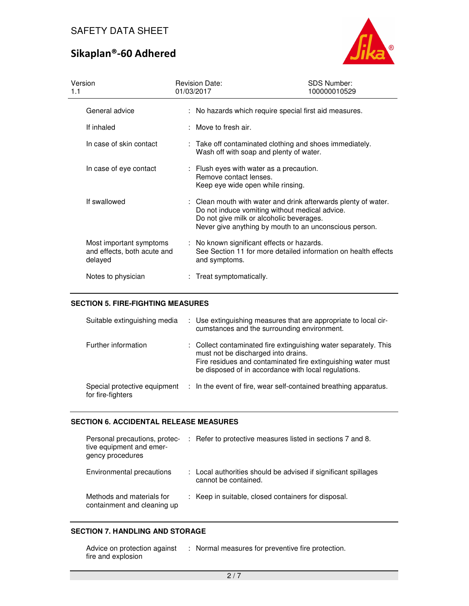

| Version<br>1.1                                                    | <b>Revision Date:</b><br>01/03/2017                                                                     | <b>SDS Number:</b><br>100000010529                                                                                                                                         |
|-------------------------------------------------------------------|---------------------------------------------------------------------------------------------------------|----------------------------------------------------------------------------------------------------------------------------------------------------------------------------|
| General advice                                                    |                                                                                                         | : No hazards which require special first aid measures.                                                                                                                     |
| If inhaled                                                        | : Move to fresh air.                                                                                    |                                                                                                                                                                            |
| In case of skin contact                                           | Wash off with soap and plenty of water.                                                                 | : Take off contaminated clothing and shoes immediately.                                                                                                                    |
| In case of eye contact                                            | : Flush eyes with water as a precaution.<br>Remove contact lenses.<br>Keep eye wide open while rinsing. |                                                                                                                                                                            |
| If swallowed                                                      | Do not give milk or alcoholic beverages.                                                                | : Clean mouth with water and drink afterwards plenty of water.<br>Do not induce vomiting without medical advice.<br>Never give anything by mouth to an unconscious person. |
| Most important symptoms<br>and effects, both acute and<br>delayed | : No known significant effects or hazards.<br>and symptoms.                                             | See Section 11 for more detailed information on health effects                                                                                                             |
| Notes to physician                                                | : Treat symptomatically.                                                                                |                                                                                                                                                                            |

## **SECTION 5. FIRE-FIGHTING MEASURES**

| Suitable extinguishing media                      | : Use extinguishing measures that are appropriate to local cir-<br>cumstances and the surrounding environment.                                                                                                                  |
|---------------------------------------------------|---------------------------------------------------------------------------------------------------------------------------------------------------------------------------------------------------------------------------------|
| Further information                               | : Collect contaminated fire extinguishing water separately. This<br>must not be discharged into drains.<br>Fire residues and contaminated fire extinguishing water must<br>be disposed of in accordance with local regulations. |
| Special protective equipment<br>for fire-fighters | : In the event of fire, wear self-contained breathing apparatus.                                                                                                                                                                |

### **SECTION 6. ACCIDENTAL RELEASE MEASURES**

| Personal precautions, protec-<br>tive equipment and emer-<br>gency procedures | : Refer to protective measures listed in sections 7 and 8.                             |
|-------------------------------------------------------------------------------|----------------------------------------------------------------------------------------|
| Environmental precautions                                                     | : Local authorities should be advised if significant spillages<br>cannot be contained. |
| Methods and materials for<br>containment and cleaning up                      | : Keep in suitable, closed containers for disposal.                                    |

## **SECTION 7. HANDLING AND STORAGE**

| Advice on protection against | Normal measures for preventive fire protection. |
|------------------------------|-------------------------------------------------|
| fire and explosion           |                                                 |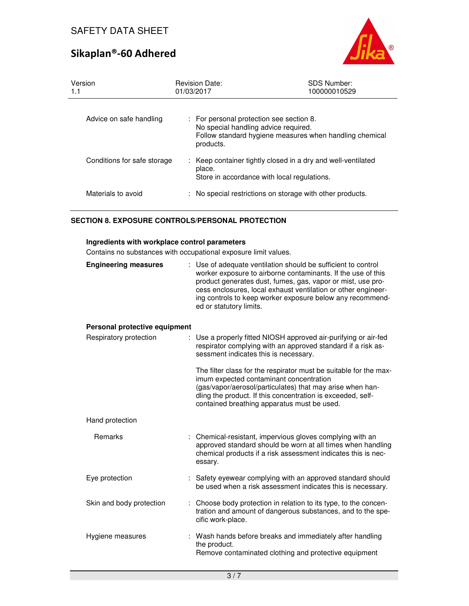

| Version<br>1.1              | <b>Revision Date:</b><br>01/03/2017                                                           | <b>SDS Number:</b><br>100000010529                           |
|-----------------------------|-----------------------------------------------------------------------------------------------|--------------------------------------------------------------|
| Advice on safe handling     | : For personal protection see section 8.<br>No special handling advice required.<br>products. | Follow standard hygiene measures when handling chemical      |
| Conditions for safe storage | place.<br>Store in accordance with local regulations.                                         | : Keep container tightly closed in a dry and well-ventilated |
| Materials to avoid          |                                                                                               | No special restrictions on storage with other products.      |

## **SECTION 8. EXPOSURE CONTROLS/PERSONAL PROTECTION**

#### **Ingredients with workplace control parameters**

Contains no substances with occupational exposure limit values.

| oomano no sabsianocs with occapational cxposare imilit values. |                                                                                                                                                                                                                                                                                                                                                     |  |  |  |
|----------------------------------------------------------------|-----------------------------------------------------------------------------------------------------------------------------------------------------------------------------------------------------------------------------------------------------------------------------------------------------------------------------------------------------|--|--|--|
| <b>Engineering measures</b>                                    | Use of adequate ventilation should be sufficient to control<br>worker exposure to airborne contaminants. If the use of this<br>product generates dust, fumes, gas, vapor or mist, use pro-<br>cess enclosures, local exhaust ventilation or other engineer-<br>ing controls to keep worker exposure below any recommend-<br>ed or statutory limits. |  |  |  |
| Personal protective equipment                                  |                                                                                                                                                                                                                                                                                                                                                     |  |  |  |
| Respiratory protection                                         | Use a properly fitted NIOSH approved air-purifying or air-fed<br>respirator complying with an approved standard if a risk as-<br>sessment indicates this is necessary.                                                                                                                                                                              |  |  |  |
|                                                                | The filter class for the respirator must be suitable for the max-<br>imum expected contaminant concentration<br>(gas/vapor/aerosol/particulates) that may arise when han-<br>dling the product. If this concentration is exceeded, self-<br>contained breathing apparatus must be used.                                                             |  |  |  |
| Hand protection                                                |                                                                                                                                                                                                                                                                                                                                                     |  |  |  |
| Remarks                                                        | : Chemical-resistant, impervious gloves complying with an<br>approved standard should be worn at all times when handling<br>chemical products if a risk assessment indicates this is nec-<br>essary.                                                                                                                                                |  |  |  |
| Eye protection                                                 | Safety eyewear complying with an approved standard should<br>be used when a risk assessment indicates this is necessary.                                                                                                                                                                                                                            |  |  |  |
| Skin and body protection                                       | Choose body protection in relation to its type, to the concen-<br>tration and amount of dangerous substances, and to the spe-<br>cific work-place.                                                                                                                                                                                                  |  |  |  |
| Hygiene measures                                               | Wash hands before breaks and immediately after handling<br>the product.<br>Remove contaminated clothing and protective equipment                                                                                                                                                                                                                    |  |  |  |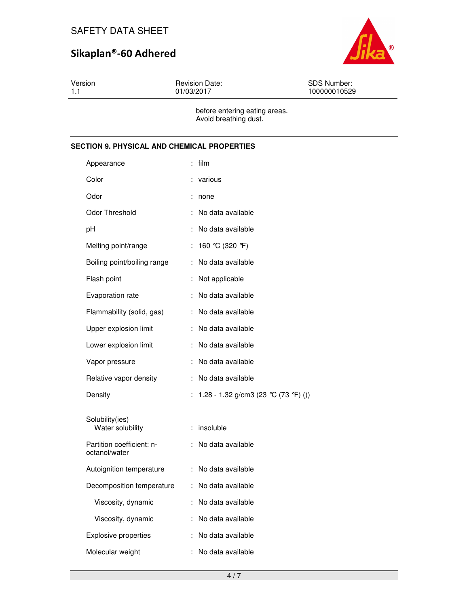

Version 1.1 Revision Date: 01/03/2017 SDS Number: 100000010529 before entering eating areas.

Avoid breathing dust.

## **SECTION 9. PHYSICAL AND CHEMICAL PROPERTIES**

| Appearance                                 |    | film                                 |
|--------------------------------------------|----|--------------------------------------|
| Color                                      |    | various                              |
| Odor                                       |    | none                                 |
| Odor Threshold                             |    | No data available                    |
| рH                                         | ÷  | No data available                    |
| Melting point/range                        | ÷  | 160 °C (320 °F)                      |
| Boiling point/boiling range                | ÷. | No data available                    |
| Flash point                                | ÷  | Not applicable                       |
| Evaporation rate                           | ÷  | No data available                    |
| Flammability (solid, gas)                  | ÷  | No data available                    |
| Upper explosion limit                      | ÷  | No data available                    |
| Lower explosion limit                      | ÷  | No data available                    |
| Vapor pressure                             | ÷  | No data available                    |
| Relative vapor density                     | ÷  | No data available                    |
| Density                                    | ÷  | 1.28 - 1.32 g/cm3 (23 °C (73 °F) ()) |
| Solubility(ies)<br>Water solubility        | ÷  | insoluble                            |
| Partition coefficient: n-<br>octanol/water | ÷  | No data available                    |
| Autoignition temperature                   | ÷  | No data available                    |
| Decomposition temperature                  | ÷  | No data available                    |
| Viscosity, dynamic                         | t. | No data available                    |
| Viscosity, dynamic                         | ÷  | No data available                    |
| <b>Explosive properties</b>                | t  | No data available                    |
| Molecular weight                           | ÷  | No data available                    |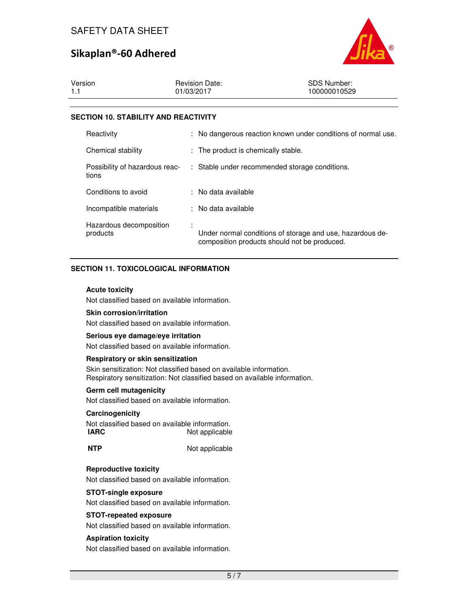

| 1.1<br>01/03/2017<br>100000010529 | Version | <b>Revision Date:</b> | <b>SDS Number:</b> |
|-----------------------------------|---------|-----------------------|--------------------|
|                                   |         |                       |                    |

#### **SECTION 10. STABILITY AND REACTIVITY**

| Reactivity                              | : No dangerous reaction known under conditions of normal use.                                             |
|-----------------------------------------|-----------------------------------------------------------------------------------------------------------|
| Chemical stability                      | : The product is chemically stable.                                                                       |
| Possibility of hazardous reac-<br>tions | : Stable under recommended storage conditions.                                                            |
| Conditions to avoid                     | : No data available                                                                                       |
| Incompatible materials                  | : No data available                                                                                       |
| Hazardous decomposition<br>products     | Under normal conditions of storage and use, hazardous de-<br>composition products should not be produced. |

## **SECTION 11. TOXICOLOGICAL INFORMATION**

#### **Acute toxicity**

Not classified based on available information.

#### **Skin corrosion/irritation**

Not classified based on available information.

#### **Serious eye damage/eye irritation**

Not classified based on available information.

#### **Respiratory or skin sensitization**

Skin sensitization: Not classified based on available information. Respiratory sensitization: Not classified based on available information.

#### **Germ cell mutagenicity**

Not classified based on available information.

#### **Carcinogenicity**

Not classified based on available information. **IARC** Not applicable

**NTP** Not applicable

## **Reproductive toxicity**

Not classified based on available information.

### **STOT-single exposure**

Not classified based on available information.

#### **STOT-repeated exposure**

Not classified based on available information.

#### **Aspiration toxicity**

Not classified based on available information.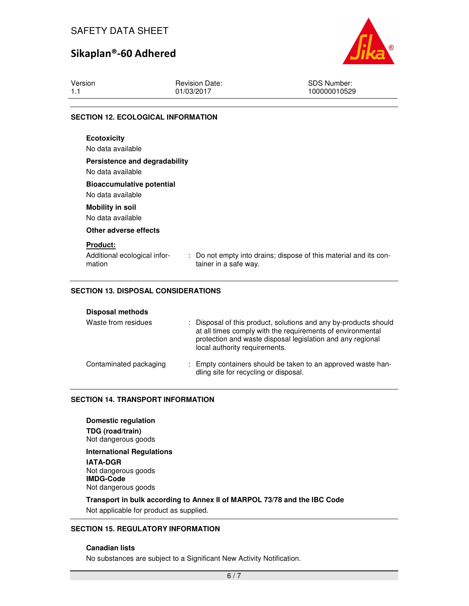

| Version | <b>Revision Date:</b>                     | SDS Number:  |
|---------|-------------------------------------------|--------------|
| 1.1     | 01/03/2017                                | 100000010529 |
|         | <b>SECTION 12. ECOLOGICAL INFORMATION</b> |              |

## **Ecotoxicity**  No data available **Persistence and degradability**  No data available **Bioaccumulative potential**  No data available **Mobility in soil**  No data available **Other adverse effects Product:**  Additional ecological information : Do not empty into drains; dispose of this material and its container in a safe way.

## **SECTION 13. DISPOSAL CONSIDERATIONS**

| Waste from residues    | : Disposal of this product, solutions and any by-products should<br>at all times comply with the requirements of environmental<br>protection and waste disposal legislation and any regional<br>local authority requirements. |
|------------------------|-------------------------------------------------------------------------------------------------------------------------------------------------------------------------------------------------------------------------------|
| Contaminated packaging | : Empty containers should be taken to an approved waste han-<br>dling site for recycling or disposal.                                                                                                                         |

#### **SECTION 14. TRANSPORT INFORMATION**

#### **Domestic regulation**

**TDG (road/train)** Not dangerous goods

**International Regulations IATA-DGR** Not dangerous goods **IMDG-Code**

Not dangerous goods

**Transport in bulk according to Annex II of MARPOL 73/78 and the IBC Code**  Not applicable for product as supplied.

#### **SECTION 15. REGULATORY INFORMATION**

#### **Canadian lists**

No substances are subject to a Significant New Activity Notification.